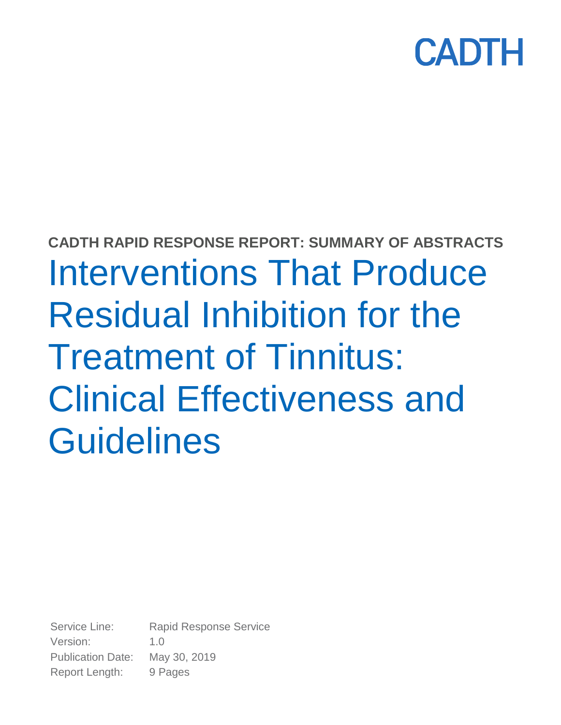

# **CADTH RAPID RESPONSE REPORT: SUMMARY OF ABSTRACTS** Interventions That Produce Residual Inhibition for the Treatment of Tinnitus: Clinical Effectiveness and **Guidelines**

Service Line: Rapid Response Service Version: 1.0 Publication Date: May 30, 2019 Report Length: 9 Pages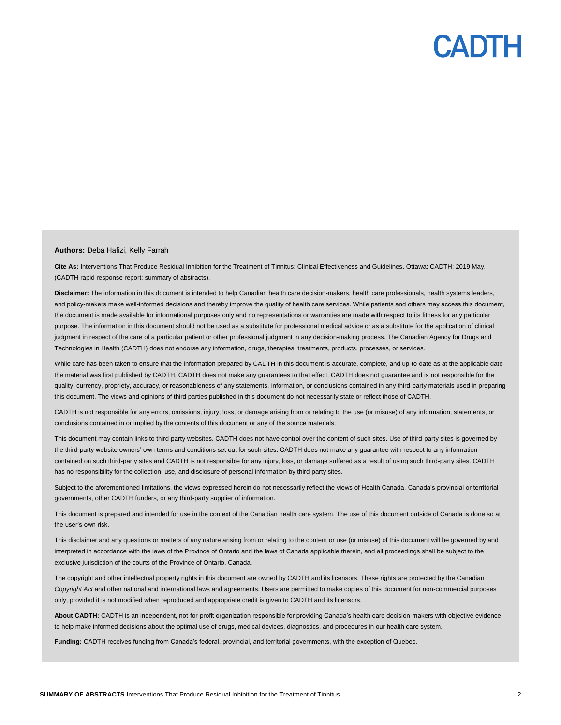#### **Authors:** Deba Hafizi, Kelly Farrah

**Cite As:** Interventions That Produce Residual Inhibition for the Treatment of Tinnitus: Clinical Effectiveness and Guidelines. Ottawa: CADTH; 2019 May. (CADTH rapid response report: summary of abstracts).

Disclaimer: The information in this document is intended to help Canadian health care decision-makers, health care professionals, health systems leaders, and policy-makers make well-informed decisions and thereby improve the quality of health care services. While patients and others may access this document, the document is made available for informational purposes only and no representations or warranties are made with respect to its fitness for any particular purpose. The information in this document should not be used as a substitute for professional medical advice or as a substitute for the application of clinical judgment in respect of the care of a particular patient or other professional judgment in any decision-making process. The Canadian Agency for Drugs and Technologies in Health (CADTH) does not endorse any information, drugs, therapies, treatments, products, processes, or services.

While care has been taken to ensure that the information prepared by CADTH in this document is accurate, complete, and up-to-date as at the applicable date the material was first published by CADTH, CADTH does not make any guarantees to that effect. CADTH does not guarantee and is not responsible for the quality, currency, propriety, accuracy, or reasonableness of any statements, information, or conclusions contained in any third-party materials used in preparing this document. The views and opinions of third parties published in this document do not necessarily state or reflect those of CADTH.

CADTH is not responsible for any errors, omissions, injury, loss, or damage arising from or relating to the use (or misuse) of any information, statements, or conclusions contained in or implied by the contents of this document or any of the source materials.

This document may contain links to third-party websites. CADTH does not have control over the content of such sites. Use of third-party sites is governed by the third-party website owners' own terms and conditions set out for such sites. CADTH does not make any guarantee with respect to any information contained on such third-party sites and CADTH is not responsible for any injury, loss, or damage suffered as a result of using such third-party sites. CADTH has no responsibility for the collection, use, and disclosure of personal information by third-party sites.

Subject to the aforementioned limitations, the views expressed herein do not necessarily reflect the views of Health Canada, Canada's provincial or territorial governments, other CADTH funders, or any third-party supplier of information.

This document is prepared and intended for use in the context of the Canadian health care system. The use of this document outside of Canada is done so at the user's own risk.

This disclaimer and any questions or matters of any nature arising from or relating to the content or use (or misuse) of this document will be governed by and interpreted in accordance with the laws of the Province of Ontario and the laws of Canada applicable therein, and all proceedings shall be subject to the exclusive jurisdiction of the courts of the Province of Ontario, Canada.

The copyright and other intellectual property rights in this document are owned by CADTH and its licensors. These rights are protected by the Canadian *Copyright Act* and other national and international laws and agreements. Users are permitted to make copies of this document for non-commercial purposes only, provided it is not modified when reproduced and appropriate credit is given to CADTH and its licensors.

**About CADTH:** CADTH is an independent, not-for-profit organization responsible for providing Canada's health care decision-makers with objective evidence to help make informed decisions about the optimal use of drugs, medical devices, diagnostics, and procedures in our health care system.

**Funding:** CADTH receives funding from Canada's federal, provincial, and territorial governments, with the exception of Quebec.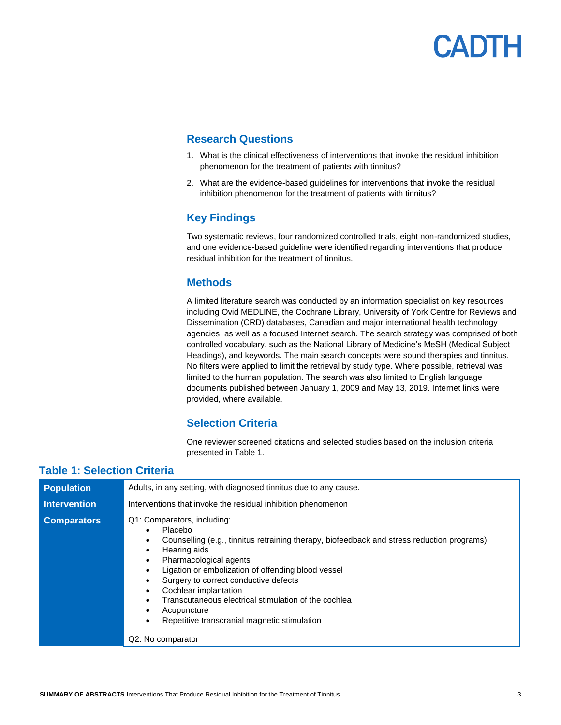### **Research Questions**

- 1. What is the clinical effectiveness of interventions that invoke the residual inhibition phenomenon for the treatment of patients with tinnitus?
- 2. What are the evidence-based guidelines for interventions that invoke the residual inhibition phenomenon for the treatment of patients with tinnitus?

# **Key Findings**

Two systematic reviews, four randomized controlled trials, eight non-randomized studies, and one evidence-based guideline were identified regarding interventions that produce residual inhibition for the treatment of tinnitus.

### **Methods**

A limited literature search was conducted by an information specialist on key resources including Ovid MEDLINE, the Cochrane Library, University of York Centre for Reviews and Dissemination (CRD) databases, Canadian and major international health technology agencies, as well as a focused Internet search. The search strategy was comprised of both controlled vocabulary, such as the National Library of Medicine's MeSH (Medical Subject Headings), and keywords. The main search concepts were sound therapies and tinnitus. No filters were applied to limit the retrieval by study type. Where possible, retrieval was limited to the human population. The search was also limited to English language documents published between January 1, 2009 and May 13, 2019. Internet links were provided, where available.

## **Selection Criteria**

One reviewer screened citations and selected studies based on the inclusion criteria presented in Table 1.

### **Table 1: Selection Criteria**

| <b>Population</b>   | Adults, in any setting, with diagnosed tinnitus due to any cause.                                                                                                                                                                                                                                                                                                                                                                                  |  |  |  |  |  |
|---------------------|----------------------------------------------------------------------------------------------------------------------------------------------------------------------------------------------------------------------------------------------------------------------------------------------------------------------------------------------------------------------------------------------------------------------------------------------------|--|--|--|--|--|
| <b>Intervention</b> | Interventions that invoke the residual inhibition phenomenon                                                                                                                                                                                                                                                                                                                                                                                       |  |  |  |  |  |
| <b>Comparators</b>  | Q1: Comparators, including:<br>Placebo<br>Counselling (e.g., tinnitus retraining therapy, biofeedback and stress reduction programs)<br>Hearing aids<br>Pharmacological agents<br>Ligation or embolization of offending blood vessel<br>Surgery to correct conductive defects<br>Cochlear implantation<br>Transcutaneous electrical stimulation of the cochlea<br>Acupuncture<br>Repetitive transcranial magnetic stimulation<br>Q2: No comparator |  |  |  |  |  |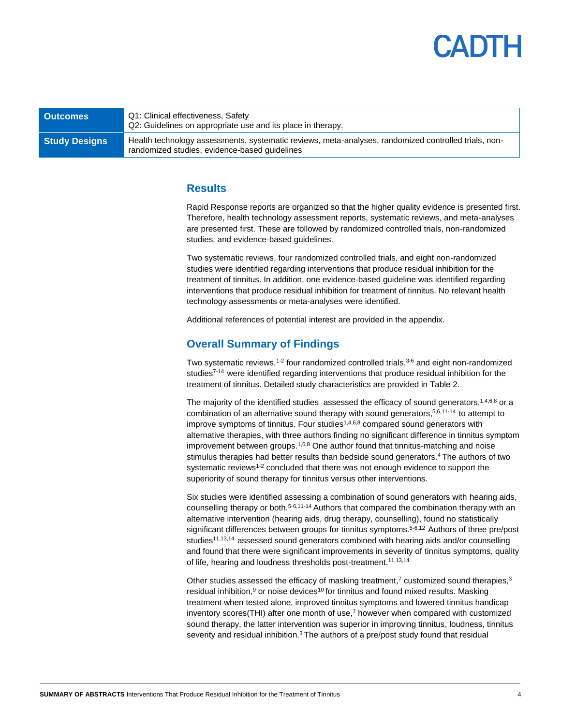# **ADIH**

| <b>Outcomes</b>      | Q1: Clinical effectiveness, Safety<br>Q2: Guidelines on appropriate use and its place in therapy.                                                     |  |  |  |  |
|----------------------|-------------------------------------------------------------------------------------------------------------------------------------------------------|--|--|--|--|
| <b>Study Designs</b> | Health technology assessments, systematic reviews, meta-analyses, randomized controlled trials, non-<br>randomized studies, evidence-based quidelines |  |  |  |  |

### **Results**

Rapid Response reports are organized so that the higher quality evidence is presented first. Therefore, health technology assessment reports, systematic reviews, and meta-analyses are presented first. These are followed by randomized controlled trials, non-randomized studies, and evidence-based guidelines.

Two systematic reviews, four randomized controlled trials, and eight non-randomized studies were identified regarding interventions that produce residual inhibition for the treatment of tinnitus. In addition, one evidence-based guideline was identified regarding interventions that produce residual inhibition for treatment of tinnitus. No relevant health technology assessments or meta-analyses were identified.

Additional references of potential interest are provided in the appendix.

### **Overall Summary of Findings**

Two systematic reviews,<sup>1-2</sup> four randomized controlled trials, $3-6$  and eight non-randomized studies<sup>7-14</sup> were identified regarding interventions that produce residual inhibition for the treatment of tinnitus. Detailed study characteristics are provided in Table 2.

The majority of the identified studies assessed the efficacy of sound generators,<sup>1,4,6,8</sup> or a combination of an alternative sound therapy with sound generators,<sup>5,6,11-14</sup> to attempt to improve symptoms of tinnitus. Four studies<sup> $1,4,6,8$ </sup> compared sound generators with alternative therapies, with three authors finding no significant difference in tinnitus symptom improvement between groups.<sup>1,6,8</sup> One author found that tinnitus-matching and noise stimulus therapies had better results than bedside sound generators.<sup>4</sup> The authors of two systematic reviews<sup>1-2</sup> concluded that there was not enough evidence to support the superiority of sound therapy for tinnitus versus other interventions.

Six studies were identified assessing a combination of sound generators with hearing aids, counselling therapy or both. $5-6,11-14$  Authors that compared the combination therapy with an alternative intervention (hearing aids, drug therapy, counselling), found no statistically significant differences between groups for tinnitus symptoms.<sup>5-6,12</sup> Authors of three pre/post studies<sup>11,13,14</sup> assessed sound generators combined with hearing aids and/or counselling and found that there were significant improvements in severity of tinnitus symptoms, quality of life, hearing and loudness thresholds post-treatment.<sup>11,13,14</sup>

Other studies assessed the efficacy of masking treatment,<sup>7</sup> customized sound therapies, $3$ residual inhibition,<sup>9</sup> or noise devices<sup>10</sup> for tinnitus and found mixed results. Masking treatment when tested alone, improved tinnitus symptoms and lowered tinnitus handicap inventory scores(THI) after one month of use, <sup>7</sup> however when compared with customized sound therapy, the latter intervention was superior in improving tinnitus, loudness, tinnitus severity and residual inhibition. $3$  The authors of a pre/post study found that residual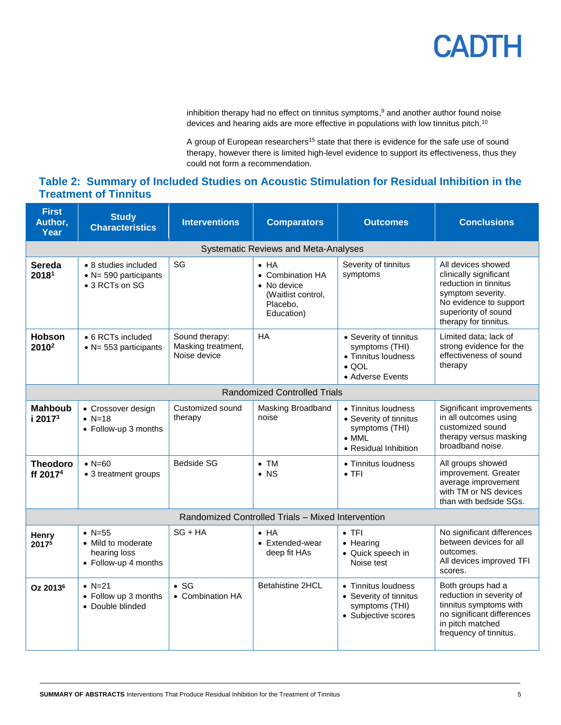inhibition therapy had no effect on tinnitus symptoms, <sup>9</sup> and another author found noise devices and hearing aids are more effective in populations with low tinnitus pitch.<sup>10</sup>

A group of European researchers<sup>15</sup> state that there is evidence for the safe use of sound therapy, however there is limited high-level evidence to support its effectiveness, thus they could not form a recommendation.

## **Table 2: Summary of Included Studies on Acoustic Stimulation for Residual Inhibition in the Treatment of Tinnitus**

| <b>First</b><br>Author,<br>Year                   | <b>Study</b><br><b>Characteristics</b>                                   | <b>Interventions</b>                                 | <b>Comparators</b>                                                                              | <b>Outcomes</b>                                                                                           | <b>Conclusions</b>                                                                                                                                                    |  |  |  |
|---------------------------------------------------|--------------------------------------------------------------------------|------------------------------------------------------|-------------------------------------------------------------------------------------------------|-----------------------------------------------------------------------------------------------------------|-----------------------------------------------------------------------------------------------------------------------------------------------------------------------|--|--|--|
| <b>Systematic Reviews and Meta-Analyses</b>       |                                                                          |                                                      |                                                                                                 |                                                                                                           |                                                                                                                                                                       |  |  |  |
| <b>Sereda</b><br>20181                            | • 8 studies included<br>$\bullet$ N= 590 participants<br>• 3 RCTs on SG  | SG                                                   | $\bullet$ HA<br>• Combination HA<br>• No device<br>(Waitlist control,<br>Placebo,<br>Education) | Severity of tinnitus<br>symptoms                                                                          | All devices showed<br>clinically significant<br>reduction in tinnitus<br>symptom severity.<br>No evidence to support<br>superiority of sound<br>therapy for tinnitus. |  |  |  |
| <b>Hobson</b><br>2010 <sup>2</sup>                | • 6 RCTs included<br>$\bullet$ N= 553 participants                       | Sound therapy:<br>Masking treatment,<br>Noise device | <b>HA</b>                                                                                       | • Severity of tinnitus<br>symptoms (THI)<br>• Tinnitus loudness<br>$\bullet$ QOL<br>• Adverse Events      | Limited data; lack of<br>strong evidence for the<br>effectiveness of sound<br>therapy                                                                                 |  |  |  |
| <b>Randomized Controlled Trials</b>               |                                                                          |                                                      |                                                                                                 |                                                                                                           |                                                                                                                                                                       |  |  |  |
| <b>Mahboub</b><br>i 2017 <sup>3</sup>             | • Crossover design<br>• $N=18$<br>• Follow-up 3 months                   | Customized sound<br>therapy                          | Masking Broadband<br>noise                                                                      | • Tinnitus loudness<br>• Severity of tinnitus<br>symptoms (THI)<br>$\bullet$ MML<br>• Residual Inhibition | Significant improvements<br>in all outcomes using<br>customized sound<br>therapy versus masking<br>broadband noise.                                                   |  |  |  |
| <b>Theodoro</b><br>ff 2017 <sup>4</sup>           | $\bullet$ N=60<br>• 3 treatment groups                                   | <b>Bedside SG</b>                                    | $\bullet$ TM<br>$\bullet$ NS                                                                    | • Tinnitus loudness<br>$\bullet$ TFI                                                                      | All groups showed<br>improvement. Greater<br>average improvement<br>with TM or NS devices<br>than with bedside SGs.                                                   |  |  |  |
| Randomized Controlled Trials - Mixed Intervention |                                                                          |                                                      |                                                                                                 |                                                                                                           |                                                                                                                                                                       |  |  |  |
| Henry<br>20175                                    | • $N = 55$<br>• Mild to moderate<br>hearing loss<br>• Follow-up 4 months | $SG + HA$                                            | $\bullet$ HA<br>• Extended-wear<br>deep fit HAs                                                 | $\bullet$ TFI<br>$\bullet$ Hearing<br>• Quick speech in<br>Noise test                                     | No significant differences<br>between devices for all<br>outcomes.<br>All devices improved TFI<br>scores.                                                             |  |  |  |
| Oz 2013 <sup>6</sup>                              | • $N = 21$<br>• Follow up 3 months<br>• Double blinded                   | $\bullet$ SG<br>• Combination HA                     | Betahistine 2HCL                                                                                | • Tinnitus loudness<br>• Severity of tinnitus<br>symptoms (THI)<br>• Subjective scores                    | Both groups had a<br>reduction in severity of<br>tinnitus symptoms with<br>no significant differences<br>in pitch matched<br>frequency of tinnitus.                   |  |  |  |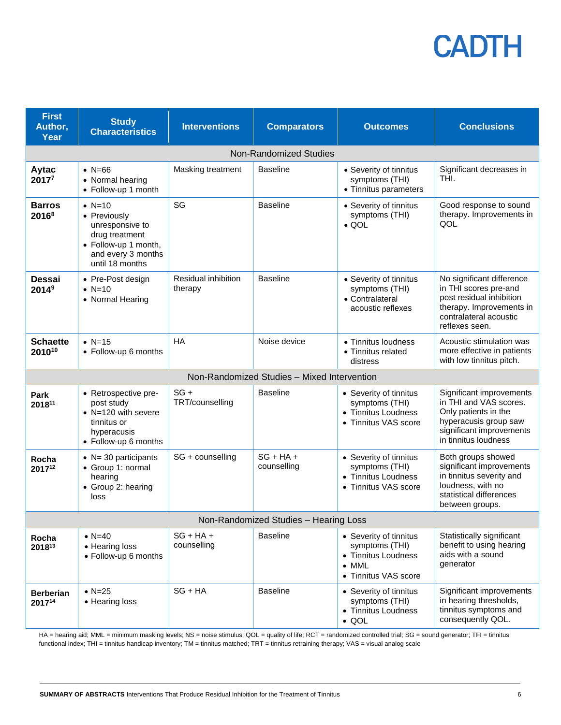| <b>First</b><br>Author,<br>Year       | <b>Study</b><br><b>Characteristics</b>                                                                                         | <b>Interventions</b>           | <b>Comparators</b>                          | <b>Outcomes</b>                                                                                          | <b>Conclusions</b>                                                                                                                                      |  |  |  |
|---------------------------------------|--------------------------------------------------------------------------------------------------------------------------------|--------------------------------|---------------------------------------------|----------------------------------------------------------------------------------------------------------|---------------------------------------------------------------------------------------------------------------------------------------------------------|--|--|--|
|                                       |                                                                                                                                |                                | <b>Non-Randomized Studies</b>               |                                                                                                          |                                                                                                                                                         |  |  |  |
| Aytac<br>20177                        | • $N = 66$<br>• Normal hearing<br>• Follow-up 1 month                                                                          | Masking treatment              | <b>Baseline</b>                             | • Severity of tinnitus<br>symptoms (THI)<br>• Tinnitus parameters                                        | Significant decreases in<br>THI.                                                                                                                        |  |  |  |
| <b>Barros</b><br>$2016^8$             | • $N=10$<br>• Previously<br>unresponsive to<br>drug treatment<br>• Follow-up 1 month,<br>and every 3 months<br>until 18 months | SG                             | <b>Baseline</b>                             | • Severity of tinnitus<br>symptoms (THI)<br>$\bullet$ QOL                                                | Good response to sound<br>therapy. Improvements in<br>QOL                                                                                               |  |  |  |
| Dessai<br>2014 <sup>9</sup>           | • Pre-Post design<br>• $N=10$<br>• Normal Hearing                                                                              | Residual inhibition<br>therapy | <b>Baseline</b>                             | • Severity of tinnitus<br>symptoms (THI)<br>• Contralateral<br>acoustic reflexes                         | No significant difference<br>in THI scores pre-and<br>post residual inhibition<br>therapy. Improvements in<br>contralateral acoustic<br>reflexes seen.  |  |  |  |
| <b>Schaette</b><br>201010             | $\bullet$ N=15<br>• Follow-up 6 months                                                                                         | <b>HA</b>                      | Noise device                                | • Tinnitus loudness<br>• Tinnitus related<br>distress                                                    | Acoustic stimulation was<br>more effective in patients<br>with low tinnitus pitch.                                                                      |  |  |  |
|                                       |                                                                                                                                |                                | Non-Randomized Studies - Mixed Intervention |                                                                                                          |                                                                                                                                                         |  |  |  |
| Park<br>201811                        | • Retrospective pre-<br>post study<br>• N=120 with severe<br>tinnitus or<br>hyperacusis<br>• Follow-up 6 months                | $SG +$<br>TRT/counselling      | <b>Baseline</b>                             | • Severity of tinnitus<br>symptoms (THI)<br>• Tinnitus Loudness<br>• Tinnitus VAS score                  | Significant improvements<br>in THI and VAS scores.<br>Only patients in the<br>hyperacusis group saw<br>significant improvements<br>in tinnitus loudness |  |  |  |
| Rocha<br>201712                       | $\bullet$ N= 30 participants<br>• Group 1: normal<br>hearing<br>• Group 2: hearing<br>loss                                     | SG + counselling               | $SG + HA +$<br>counselling                  | • Severity of tinnitus<br>symptoms (THI)<br>• Tinnitus Loudness<br>• Tinnitus VAS score                  | Both groups showed<br>significant improvements<br>in tinnitus severity and<br>loudness, with no<br>statistical differences<br>between groups.           |  |  |  |
| Non-Randomized Studies - Hearing Loss |                                                                                                                                |                                |                                             |                                                                                                          |                                                                                                                                                         |  |  |  |
| Rocha<br>201813                       | • $N = 40$<br>• Hearing loss<br>• Follow-up 6 months                                                                           | $SG + HA +$<br>counselling     | <b>Baseline</b>                             | • Severity of tinnitus<br>symptoms (THI)<br>• Tinnitus Loudness<br>$\bullet$ MML<br>• Tinnitus VAS score | Statistically significant<br>benefit to using hearing<br>aids with a sound<br>generator                                                                 |  |  |  |
| <b>Berberian</b><br>201714            | $\bullet$ N=25<br>• Hearing loss                                                                                               | $SG + HA$                      | <b>Baseline</b>                             | • Severity of tinnitus<br>symptoms (THI)<br>• Tinnitus Loudness<br>$\bullet$ QOL                         | Significant improvements<br>in hearing thresholds,<br>tinnitus symptoms and<br>consequently QOL.                                                        |  |  |  |

HA = hearing aid; MML = minimum masking levels; NS = noise stimulus; QOL = quality of life; RCT = randomized controlled trial; SG = sound generator; TFI = tinnitus functional index; THI = tinnitus handicap inventory; TM = tinnitus matched; TRT = tinnitus retraining therapy; VAS = visual analog scale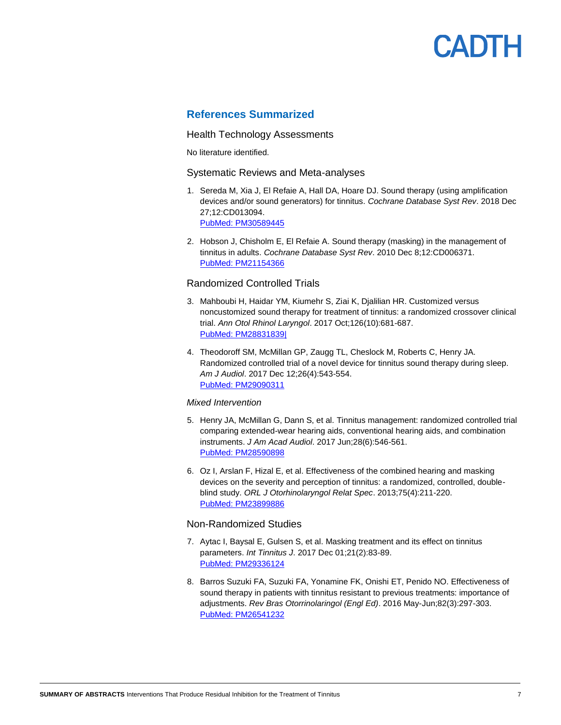### **References Summarized**

#### Health Technology Assessments

No literature identified.

#### Systematic Reviews and Meta-analyses

- 1. Sereda M, Xia J, El Refaie A, Hall DA, Hoare DJ. Sound therapy (using amplification devices and/or sound generators) for tinnitus. *Cochrane Database Syst Rev*. 2018 Dec 27;12:CD013094. [PubMed: PM30589445](http://www.ncbi.nlm.nih.gov/pubmed/30589445)
- 2. Hobson J, Chisholm E, El Refaie A. Sound therapy (masking) in the management of tinnitus in adults. *Cochrane Database Syst Rev*. 2010 Dec 8;12:CD006371. [PubMed: PM21154366](http://www.ncbi.nlm.nih.gov/pubmed/21154366)

#### Randomized Controlled Trials

- 3. Mahboubi H, Haidar YM, Kiumehr S, Ziai K, Djalilian HR. Customized versus noncustomized sound therapy for treatment of tinnitus: a randomized crossover clinical trial. *Ann Otol Rhinol Laryngol*. 2017 Oct;126(10):681-687. [PubMed: PM28831839|](http://www.ncbi.nlm.nih.gov/pubmed/28831839)
- 4. Theodoroff SM, McMillan GP, Zaugg TL, Cheslock M, Roberts C, Henry JA. Randomized controlled trial of a novel device for tinnitus sound therapy during sleep. *Am J Audiol*. 2017 Dec 12;26(4):543-554. [PubMed: PM29090311](http://www.ncbi.nlm.nih.gov/pubmed/29090311)

#### *Mixed Intervention*

- 5. Henry JA, McMillan G, Dann S, et al. Tinnitus management: randomized controlled trial comparing extended-wear hearing aids, conventional hearing aids, and combination instruments. *J Am Acad Audiol*. 2017 Jun;28(6):546-561. [PubMed: PM28590898](http://www.ncbi.nlm.nih.gov/pubmed/28590898)
- 6. Oz I, Arslan F, Hizal E, et al. Effectiveness of the combined hearing and masking devices on the severity and perception of tinnitus: a randomized, controlled, doubleblind study. *ORL J Otorhinolaryngol Relat Spec*. 2013;75(4):211-220. [PubMed: PM23899886](http://www.ncbi.nlm.nih.gov/pubmed/23899886)

#### Non-Randomized Studies

- 7. Aytac I, Baysal E, Gulsen S, et al. Masking treatment and its effect on tinnitus parameters. *Int Tinnitus J*. 2017 Dec 01;21(2):83-89. [PubMed: PM29336124](http://www.ncbi.nlm.nih.gov/pubmed/29336124)
- 8. Barros Suzuki FA, Suzuki FA, Yonamine FK, Onishi ET, Penido NO. Effectiveness of sound therapy in patients with tinnitus resistant to previous treatments: importance of adjustments. *Rev Bras Otorrinolaringol (Engl Ed)*. 2016 May-Jun;82(3):297-303. [PubMed: PM26541232](http://www.ncbi.nlm.nih.gov/pubmed/26541232)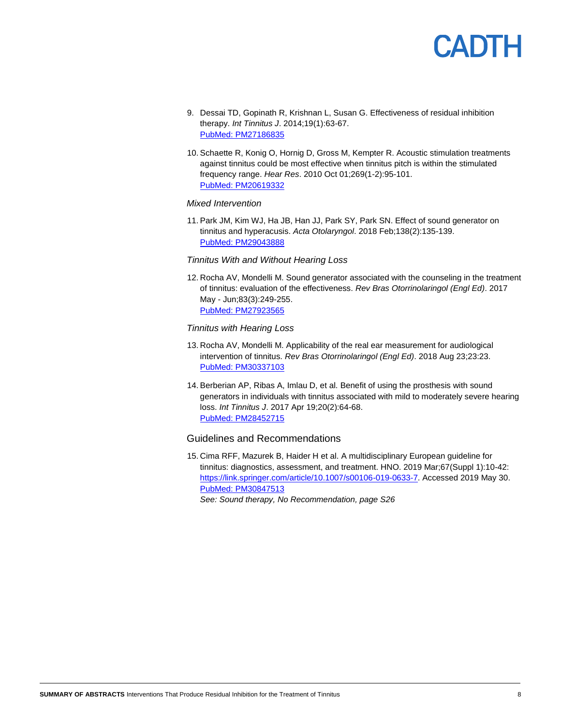

- 9. Dessai TD, Gopinath R, Krishnan L, Susan G. Effectiveness of residual inhibition therapy. *Int Tinnitus J*. 2014;19(1):63-67. [PubMed: PM27186835](http://www.ncbi.nlm.nih.gov/pubmed/27186835)
- 10. Schaette R, Konig O, Hornig D, Gross M, Kempter R. Acoustic stimulation treatments against tinnitus could be most effective when tinnitus pitch is within the stimulated frequency range. *Hear Res*. 2010 Oct 01;269(1-2):95-101. [PubMed: PM20619332](http://www.ncbi.nlm.nih.gov/pubmed/20619332)

#### *Mixed Intervention*

11. Park JM, Kim WJ, Ha JB, Han JJ, Park SY, Park SN. Effect of sound generator on tinnitus and hyperacusis. *Acta Otolaryngol*. 2018 Feb;138(2):135-139. [PubMed: PM29043888](http://www.ncbi.nlm.nih.gov/pubmed/29043888)

#### *Tinnitus With and Without Hearing Loss*

12. Rocha AV, Mondelli M. Sound generator associated with the counseling in the treatment of tinnitus: evaluation of the effectiveness. *Rev Bras Otorrinolaringol (Engl Ed)*. 2017 May - Jun;83(3):249-255. [PubMed: PM27923565](http://www.ncbi.nlm.nih.gov/pubmed/27923565)

#### *Tinnitus with Hearing Loss*

- 13. Rocha AV, Mondelli M. Applicability of the real ear measurement for audiological intervention of tinnitus. *Rev Bras Otorrinolaringol (Engl Ed)*. 2018 Aug 23;23:23. [PubMed: PM30337103](http://www.ncbi.nlm.nih.gov/pubmed/30337103)
- 14. Berberian AP, Ribas A, Imlau D, et al. Benefit of using the prosthesis with sound generators in individuals with tinnitus associated with mild to moderately severe hearing loss. *Int Tinnitus J*. 2017 Apr 19;20(2):64-68. [PubMed: PM28452715](http://www.ncbi.nlm.nih.gov/pubmed/28452715)

#### Guidelines and Recommendations

15. Cima RFF, Mazurek B, Haider H et al. A multidisciplinary European guideline for tinnitus: diagnostics, assessment, and treatment. HNO. 2019 Mar;67(Suppl 1):10-42: [https://link.springer.com/article/10.1007/s00106-019-0633-7.](https://link.springer.com/article/10.1007/s00106-019-0633-7) Accessed 2019 May 30. [PubMed: PM30847513](http://www.ncbi.nlm.nih.gov/pubmed/30847513) 

*See: Sound therapy, No Recommendation, page S26*